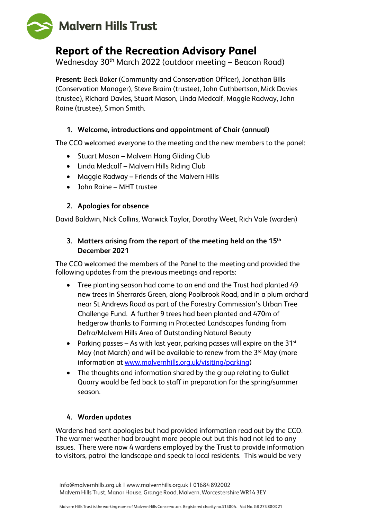

# **Report of the Recreation Advisory Panel**

Wednesday 30th March 2022 (outdoor meeting – Beacon Road)

**Present:** Beck Baker (Community and Conservation Officer), Jonathan Bills (Conservation Manager), Steve Braim (trustee), John Cuthbertson, Mick Davies (trustee), Richard Davies, Stuart Mason, Linda Medcalf, Maggie Radway, John Raine (trustee), Simon Smith.

#### **1. Welcome, introductions and appointment of Chair (annual)**

The CCO welcomed everyone to the meeting and the new members to the panel:

- Stuart Mason Malvern Hang Gliding Club
- Linda Medcalf Malvern Hills Riding Club
- Maggie Radway Friends of the Malvern Hills
- John Raine MHT trustee

#### **2. Apologies for absence**

David Baldwin, Nick Collins, Warwick Taylor, Dorothy Weet, Rich Vale (warden)

## **3. Matters arising from the report of the meeting held on the 15th December 2021**

The CCO welcomed the members of the Panel to the meeting and provided the following updates from the previous meetings and reports:

- Tree planting season had come to an end and the Trust had planted 49 new trees in Sherrards Green, along Poolbrook Road, and in a plum orchard near St Andrews Road as part of the Forestry Commission's Urban Tree Challenge Fund. A further 9 trees had been planted and 470m of hedgerow thanks to Farming in Protected Landscapes funding from Defra/Malvern Hills Area of Outstanding Natural Beauty
- Parking passes As with last year, parking passes will expire on the 31 $st$ May (not March) and will be available to renew from the 3<sup>rd</sup> May (more information at [www.malvernhills.org.uk/visiting/parking\)](http://www.malvernhills.org.uk/visiting/parking)
- The thoughts and information shared by the group relating to Gullet Quarry would be fed back to staff in preparation for the spring/summer season.

#### **4. Warden updates**

Wardens had sent apologies but had provided information read out by the CCO. The warmer weather had brought more people out but this had not led to any issues. There were now 4 wardens employed by the Trust to provide information to visitors, patrol the landscape and speak to local residents. This would be very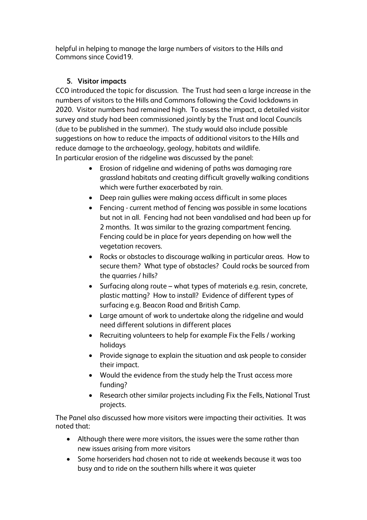helpful in helping to manage the large numbers of visitors to the Hills and Commons since Covid19.

#### **5. Visitor impacts**

CCO introduced the topic for discussion. The Trust had seen a large increase in the numbers of visitors to the Hills and Commons following the Covid lockdowns in 2020. Visitor numbers had remained high. To assess the impact, a detailed visitor survey and study had been commissioned jointly by the Trust and local Councils (due to be published in the summer). The study would also include possible suggestions on how to reduce the impacts of additional visitors to the Hills and reduce damage to the archaeology, geology, habitats and wildlife. In particular erosion of the ridgeline was discussed by the panel:

- Erosion of ridgeline and widening of paths was damaging rare grassland habitats and creating difficult gravelly walking conditions which were further exacerbated by rain.
- Deep rain gullies were making access difficult in some places
- Fencing current method of fencing was possible in some locations but not in all. Fencing had not been vandalised and had been up for 2 months. It was similar to the grazing compartment fencing. Fencing could be in place for years depending on how well the vegetation recovers.
- Rocks or obstacles to discourage walking in particular areas. How to secure them? What type of obstacles? Could rocks be sourced from the quarries / hills?
- Surfacing along route what types of materials e.g. resin, concrete, plastic matting? How to install? Evidence of different types of surfacing e.g. Beacon Road and British Camp.
- Large amount of work to undertake along the ridgeline and would need different solutions in different places
- Recruiting volunteers to help for example Fix the Fells / working holidays
- Provide signage to explain the situation and ask people to consider their impact.
- Would the evidence from the study help the Trust access more funding?
- Research other similar projects including Fix the Fells, National Trust projects.

The Panel also discussed how more visitors were impacting their activities. It was noted that:

- Although there were more visitors, the issues were the same rather than new issues arising from more visitors
- Some horseriders had chosen not to ride at weekends because it was too busy and to ride on the southern hills where it was quieter